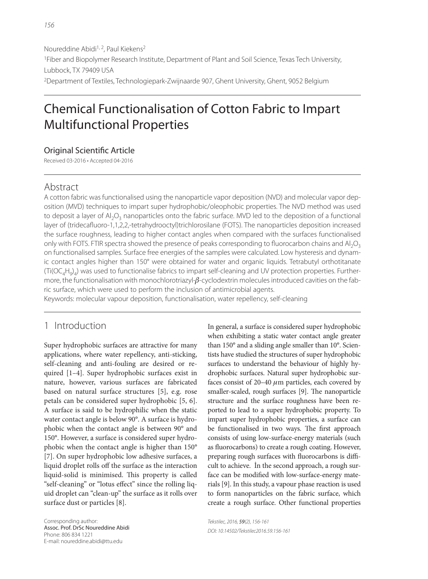# Chemical Functionalisation of Cotton Fabric to Impart Multifunctional Properties

## Original Scientific Article

Received 03-2016 • Accepted 04-2016

# Abstract

A cotton fabric was functionalised using the nanoparticle vapor deposition (NVD) and molecular vapor deposition (MVD) techniques to impart super hydrophobic/oleophobic properties. The NVD method was used to deposit a layer of  $AI_2O_3$  nanoparticles onto the fabric surface. MVD led to the deposition of a functional layer of (tridecafluoro-1,1,2,2,-tetrahydrooctyl)trichlorosilane (FOTS). The nanoparticles deposition increased the surface roughness, leading to higher contact angles when compared with the surfaces functionalised only with FOTS. FTIR spectra showed the presence of peaks corresponding to fluorocarbon chains and  $A I_2O_3$ on functionalised samples. Surface free energies of the samples were calculated. Low hysteresis and dynamic contact angles higher than 150° were obtained for water and organic liquids. Tetrabutyl orthotitanate (Ti(OC<sub>4</sub>H<sub>9</sub>)<sub>4</sub>) was used to functionalise fabrics to impart self-cleaning and UV protection properties. Furthermore, the functionalisation with monochlorotriazyl-β-cyclodextrin molecules introduced cavities on the fabric surface, which were used to perform the inclusion of antimicrobial agents.

Keywords: molecular vapour deposition, functionalisation, water repellency, self-cleaning

# 1 Introduction

Super hydrophobic surfaces are attractive for many applications, where water repellency, anti-sticking, self-cleaning and anti-fouling are desired or required [1–4]. Super hydrophobic surfaces exist in nature, however, various surfaces are fabricated based on natural surface structures [5], e.g. rose petals can be considered super hydrophobic [5, 6]. A surface is said to be hydrophilic when the static water contact angle is below 90°. A surface is hydrophobic when the contact angle is between 90° and 150°. However, a surface is considered super hydrophobic when the contact angle is higher than 150° [7]. On super hydrophobic low adhesive surfaces, a liquid droplet rolls off the surface as the interaction liquid-solid is minimised. This property is called "self-cleaning" or "lotus effect" since the rolling liquid droplet can "clean-up" the surface as it rolls over surface dust or particles [8].

Corresponding author: Assoc. Prof. DrSc Noureddine Abidi Phone: 806 834 1221 E-mail: noureddine.abidi@ttu.edu

In general, a surface is considered super hydrophobic when exhibiting a static water contact angle greater than 150° and a sliding angle smaller than 10°. Scientists have studied the structures of super hydrophobic surfaces to understand the behaviour of highly hydrophobic surfaces. Natural super hydrophobic surfaces consist of  $20-40 \mu m$  particles, each covered by smaller-scaled, rough surfaces [9]. The nanoparticle structure and the surface roughness have been reported to lead to a super hydrophobic property. To impart super hydrophobic properties, a surface can be functionalised in two ways. The first approach consists of using low-surface-energy materials (such as fluorocarbons) to create a rough coating. However, preparing rough surfaces with fluorocarbons is difficult to achieve. İn the second approach, a rough surface can be modified with low-surface-energy materials [9]. In this study, a vapour phase reaction is used to form nanoparticles on the fabric surface, which create a rough surface. Other functional properties

Tekstilec, 2016, 59(2), 156-161 DOI: 10.14502/Tekstilec2016.59.156-161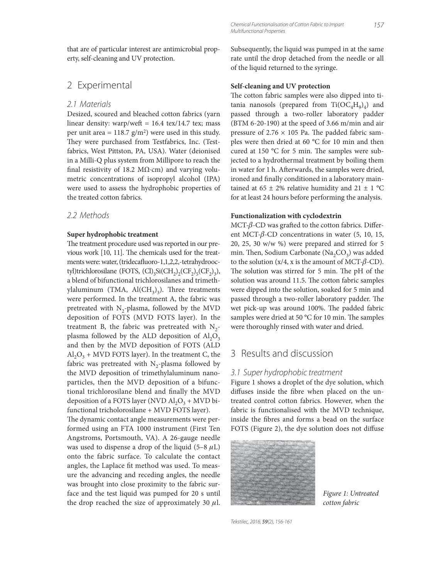that are of particular interest are antimicrobial property, self-cleaning and UV protection.

# 2 Experimental

#### 2.1 Materials

Desized, scoured and bleached cotton fabrics (yarn linear density: warp/weft =  $16.4$  tex/14.7 tex; mass per unit area =  $118.7$  g/m<sup>2</sup>) were used in this study. They were purchased from Testfabrics, Inc. (Testfabrics, West Pittston, PA, USA). Water (deionised in a Milli-Q plus system from Millipore to reach the final resistivity of 18.2 M $\Omega$ ·cm) and varying volumetric concentrations of isopropyl alcohol (IPA) were used to assess the hydrophobic properties of the treated cotton fabrics.

#### 2.2 Methods

#### **Super hydrophobic treatment**

The treatment procedure used was reported in our previous work [10, 11]. The chemicals used for the treatments were: water, (tridecafluoro-1,1,2,2,-tetrahydrooctyl)trichlorosilane (FOTS,  $(Cl)_{3}Si(CH_{2})_{2}(CF_{2})_{5}(CF_{2})_{3}$ ), a blend of bifunctional trichlorosilanes and trimethylaluminum (TMA,  $\text{Al}(\text{CH}_3)_3$ ). Three treatments were performed. In the treatment A, the fabric was pretreated with  $N_2$ -plasma, followed by the MVD deposition of FOTS (MVD FOTS layer). In the treatment B, the fabric was pretreated with  $N_2$ plasma followed by the ALD deposition of  $Al_2O_3$ and then by the MVD deposition of FOTS (ALD  $Al_2O_3$  + MVD FOTS layer). In the treatment C, the fabric was pretreated with  $N_2$ -plasma followed by the MVD deposition of trimethylaluminum nanoparticles, then the MVD deposition of a bifunctional trichlorosilane blend and finally the MVD deposition of a FOTS layer (NVD  $\text{Al}_2\text{O}_3$  + MVD bifunctional tricholorosilane + MVD FOTS layer).

The dynamic contact angle measurements were performed using an FTA 1000 instrument (First Ten Angstroms, Portsmouth, VA). A 26-gauge needle was used to dispense a drop of the liquid (5–8  $\mu$ L) onto the fabric surface. To calculate the contact angles, the Laplace fit method was used. To measure the advancing and receding angles, the needle was brought into close proximity to the fabric surface and the test liquid was pumped for 20 s until the drop reached the size of approximately 30  $\mu$ l. Subsequently, the liquid was pumped in at the same rate until the drop detached from the needle or all of the liquid returned to the syringe.

#### **Self-cleaning and UV protection**

The cotton fabric samples were also dipped into titania nanosols (prepared from  $Ti(OC<sub>4</sub>H<sub>9</sub>)<sub>4</sub>$ ) and passed through a two-roller laboratory padder (BTM 6-20-190) at the speed of 3.66 m/min and air pressure of  $2.76 \times 105$  Pa. The padded fabric samples were then dried at 60 °C for 10 min and then cured at 150  $^{\circ}$ C for 5 min. The samples were subjected to a hydrothermal treatment by boiling them in water for 1 h. Afterwards, the samples were dried, ironed and finally conditioned in a laboratory maintained at  $65 \pm 2\%$  relative humidity and  $21 \pm 1\degree$ C for at least 24 hours before performing the analysis.

#### **Functionalization with cyclodextrin**

MCT- $\beta$ -CD was grafted to the cotton fabrics. Different MCT-β-CD concentrations in water (5, 10, 15, 20, 25, 30 w/w %) were prepared and stirred for 5 min. Then, Sodium Carbonate  $(Na_2CO_3)$  was added to the solution  $(x/4, x$  is the amount of MCT- $\beta$ -CD). The solution was stirred for 5 min. The pH of the solution was around 11.5. The cotton fabric samples were dipped into the solution, soaked for 5 min and passed through a two-roller laboratory padder. The wet pick-up was around 100%. The padded fabric samples were dried at 50 °C for 10 min. The samples were thoroughly rinsed with water and dried.

# 3 Results and discussion

#### 3.1 Super hydrophobic treatment

Figure 1 shows a droplet of the dye solution, which diffuses inside the fibre when placed on the untreated control cotton fabrics. However, when the fabric is functionalised with the MVD technique, inside the fibres and forms a bead on the surface FOTS (Figure 2), the dye solution does not diffuse



Figure 1: Untreated cotton fabric

Tekstilec, 2016, 59(2), 156-161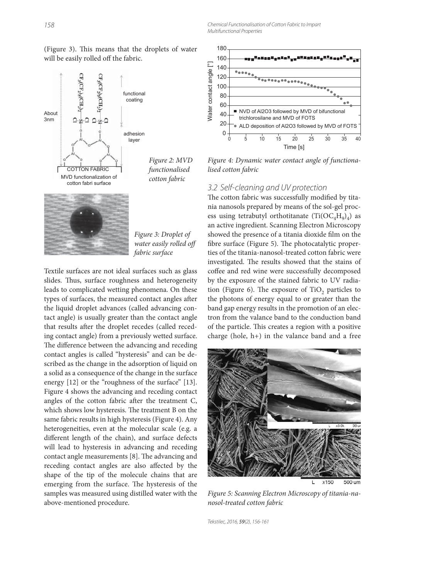Chemical Functionalisation of Cotton Fabric to Impart Multifunctional Properties



(Figure 3). This means that the droplets of water will be easily rolled off the fabric.

Figure 3: Droplet of water easily rolled off

Textile surfaces are not ideal surfaces such as glass slides. Thus, surface roughness and heterogeneity leads to complicated wetting phenomena. On these types of surfaces, the measured contact angles after the liquid droplet advances (called advancing contact angle) is usually greater than the contact angle that results after the droplet recedes (called receding contact angle) from a previously wetted surface. The difference between the advancing and receding contact angles is called "hysteresis" and can be described as the change in the adsorption of liquid on a solid as a consequence of the change in the surface energy [12] or the "roughness of the surface" [13]. Figure 4 shows the advancing and receding contact angles of the cotton fabric after the treatment C, which shows low hysteresis. The treatment B on the same fabric results in high hysteresis (Figure 4). Any heterogeneities, even at the molecular scale (e.g. a different length of the chain), and surface defects will lead to hysteresis in advancing and receding contact angle measurements [8]. The advancing and receding contact angles are also affected by the shape of the tip of the molecule chains that are emerging from the surface. The hysteresis of the samples was measured using distilled water with the above-mentioned procedure.



Figure 4: Dynamic water contact angle of functionalised cotton fabric

#### 3.2 Self-cleaning and UV protection

The cotton fabric was successfully modified by titania nanosols prepared by means of the sol-gel process using tetrabutyl orthotitanate  $(Ti(OC<sub>4</sub>H<sub>9</sub>)<sub>4</sub>)$  as an active ingredient. Scanning Electron Microscopy showed the presence of a titania dioxide film on the fibre surface (Figure 5). The photocatalytic properties of the titania-nanosol-treated cotton fabric were investigated. The results showed that the stains of coffee and red wine were successfully decomposed by the exposure of the stained fabric to UV radiation (Figure 6). The exposure of TiO<sub>2</sub> particles to the photons of energy equal to or greater than the band gap energy results in the promotion of an electron from the valance band to the conduction band of the particle. This creates a region with a positive charge (hole,  $h+$ ) in the valance band and a free



Figure 5: Scanning Electron Microscopy of titania-nanosol-treated cotton fabric

Tekstilec, 2016, 59(2), 156-161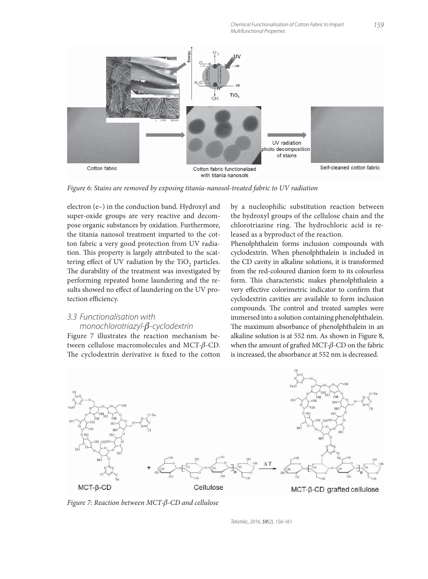Chemical Functionalisation of Cotton Fabric to Impart Multifunctional Properties



Figure 6: Stains are removed by exposing titania-nanosol-treated fabric to UV radiation

electron (e–) in the conduction band. Hydroxyl and super-oxide groups are very reactive and decompose organic substances by oxidation. Furthermore, the titania nanosol treatment imparted to the cotton fabric a very good protection from UV radiation. This property is largely attributed to the scattering effect of UV radiation by the TiO<sub>2</sub> particles. The durability of the treatment was investigated by performing repeated home laundering and the results showed no effect of laundering on the UV protection efficiency.

### 3.3 Functionalisation with monochlorotriazyl-β-cyclodextrin

Figure 7 illustrates the reaction mechanism between cellulose macromolecules and MCT-β-CD. The cyclodextrin derivative is fixed to the cotton by a nucleophilic substitution reaction between the hydroxyl groups of the cellulose chain and the chlorotriazine ring. The hydrochloric acid is released as a byproduct of the reaction.

Phenolphthalein forms inclusion compounds with cyclodextrin. When phenolphthalein is included in the CD cavity in alkaline solutions, it is transformed from the red-coloured dianion form to its colourless form. This characteristic makes phenolphthalein a very effective colorimetric indicator to confirm that cyclodextrin cavities are available to form inclusion compounds. The control and treated samples were immersed into a solution containing phenolphthalein. The maximum absorbance of phenolphthalein in an alkaline solution is at 552 nm. As shown in Figure 8, when the amount of grafted MCT- $\beta$ -CD on the fabric is increased, the absorbance at 552 nm is decreased.



Figure 7: Reaction between MCT-β-CD and cellulose

Tekstilec, 2016, 59(2), 156-161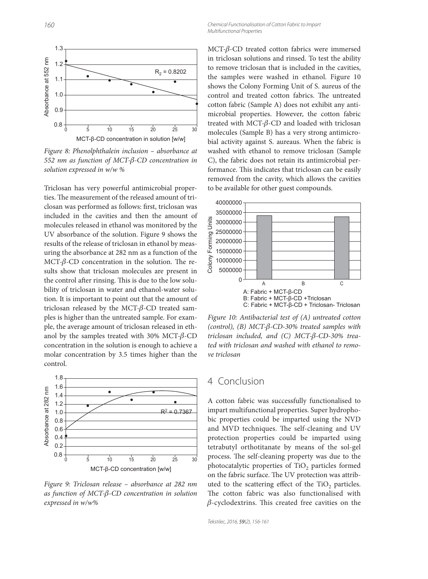

Figure 8: Phenolphthalein inclusion – absorbance at 552 nm as function of MCT-β-CD concentration in solution expressed in w/w %

Triclosan has very powerful antimicrobial properties. The measurement of the released amount of triclosan was performed as follows: first, triclosan was included in the cavities and then the amount of molecules released in ethanol was monitored by the UV absorbance of the solution. Figure 9 shows the results of the release of triclosan in ethanol by measuring the absorbance at 282 nm as a function of the MCT- $β$ -CD concentration in the solution. The results show that triclosan molecules are present in the control after rinsing. This is due to the low solubility of triclosan in water and ethanol-water solution. It is important to point out that the amount of triclosan released by the MCT- $\beta$ -CD treated samples is higher than the untreated sample. For example, the average amount of triclosan released in ethanol by the samples treated with 30% MCT- $\beta$ -CD concentration in the solution is enough to achieve a molar concentration by 3.5 times higher than the control.



Figure 9: Triclosan release – absorbance at 282 nm as function of MCT-β-CD concentration in solution expressed in w/w%

MCT-β-CD treated cotton fabrics were immersed in triclosan solutions and rinsed. To test the ability to remove triclosan that is included in the cavities, the samples were washed in ethanol. Figure 10 shows the Colony Forming Unit of S. aureus of the control and treated cotton fabrics. The untreated cotton fabric (Sample A) does not exhibit any antimicrobial properties. However, the cotton fabric treated with MCT-β-CD and loaded with triclosan molecules (Sample B) has a very strong antimicrobial activity against S. aureaus. When the fabric is washed with ethanol to remove triclosan (Sample C), the fabric does not retain its antimicrobial performance. This indicates that triclosan can be easily removed from the cavity, which allows the cavities to be available for other guest compounds.



Figure 10: Antibacterial test of (A) untreated cotton (control), (B) MCT- $\beta$ -CD-30% treated samples with triclosan included, and (C) MCT-β-CD-30% treated with triclosan and washed with ethanol to remove triclosan

## 4 Conclusion

A cotton fabric was successfully functionalised to impart multifunctional properties. Super hydrophobic properties could be imparted using the NVD and MVD techniques. The self-cleaning and UV protection properties could be imparted using tetrabutyl orthotitanate by means of the sol-gel process. The self-cleaning property was due to the photocatalytic properties of TiO<sub>2</sub> particles formed on the fabric surface. The UV protection was attributed to the scattering effect of the TiO<sub>2</sub> particles. The cotton fabric was also functionalised with  $\beta$ -cyclodextrins. This created free cavities on the